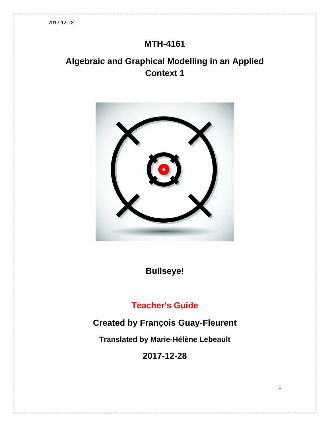# **MTH-4161**

# **Algebraic and Graphical Modelling in an Applied Context 1**



**Bullseye!**

# **Teacher's Guide**

# **Created by François Guay-Fleurent**

**Translated by Marie-Hélène Lebeault**

**2017-12-28**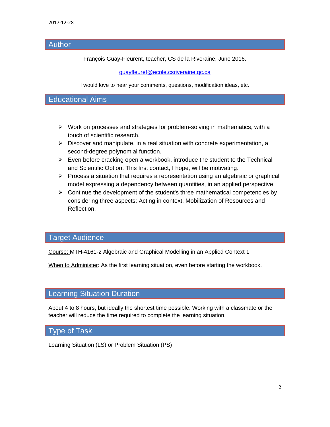# Author

François Guay-Fleurent, teacher, CS de la Riveraine, June 2016.

### [guayfleuref@ecole.csriveraine.qc.ca](mailto:guayfleuref@ecole.csriveraine.qc.ca)

I would love to hear your comments, questions, modification ideas, etc.

# Educational Aims

- $\triangleright$  Work on processes and strategies for problem-solving in mathematics, with a touch of scientific research.
- $\triangleright$  Discover and manipulate, in a real situation with concrete experimentation, a second-degree polynomial function.
- $\triangleright$  Even before cracking open a workbook, introduce the student to the Technical and Scientific Option. This first contact, I hope, will be motivating.
- $\triangleright$  Process a situation that requires a representation using an algebraic or graphical model expressing a dependency between quantities, in an applied perspective.
- $\triangleright$  Continue the development of the student's three mathematical competencies by considering three aspects: Acting in context, Mobilization of Resources and Reflection.

# Target Audience

Course: MTH-4161-2 Algebraic and Graphical Modelling in an Applied Context 1

When to Administer: As the first learning situation, even before starting the workbook.

### Learning Situation Duration

About 4 to 8 hours, but ideally the shortest time possible. Working with a classmate or the teacher will reduce the time required to complete the learning situation.

### Type of Task

Learning Situation (LS) or Problem Situation (PS)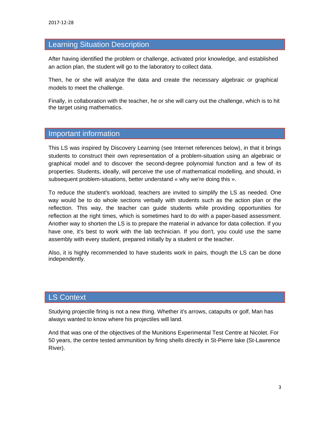## Learning Situation Description

After having identified the problem or challenge, activated prior knowledge, and established an action plan, the student will go to the laboratory to collect data.

Then, he or she will analyze the data and create the necessary algebraic or graphical models to meet the challenge.

Finally, in collaboration with the teacher, he or she will carry out the challenge, which is to hit the target using mathematics.

## Important information

This LS was inspired by Discovery Learning (see Internet references below), in that it brings students to construct their own representation of a problem-situation using an algebraic or graphical model and to discover the second-degree polynomial function and a few of its properties. Students, ideally, will perceive the use of mathematical modelling, and should, in subsequent problem-situations, better understand « why we're doing this ».

To reduce the student's workload, teachers are invited to simplify the LS as needed. One way would be to do whole sections verbally with students such as the action plan or the reflection. This way, the teacher can guide students while providing opportunities for reflection at the right times, which is sometimes hard to do with a paper-based assessment. Another way to shorten the LS is to prepare the material in advance for data collection. If you have one, it's best to work with the lab technician. If you don't, you could use the same assembly with every student, prepared initially by a student or the teacher.

Also, it is highly recommended to have students work in pairs, though the LS can be done independently.

# LS Context

Studying projectile firing is not a new thing. Whether it's arrows, catapults or golf, Man has always wanted to know where his projectiles will land.

And that was one of the objectives of the Munitions Experimental Test Centre at Nicolet. For 50 years, the centre tested ammunition by firing shells directly in St-Pierre lake (St-Lawrence River).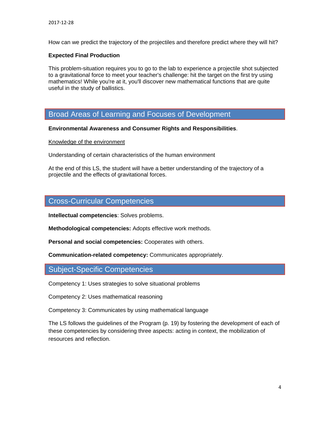How can we predict the trajectory of the projectiles and therefore predict where they will hit?

#### **Expected Final Production**

This problem-situation requires you to go to the lab to experience a projectile shot subjected to a gravitational force to meet your teacher's challenge: hit the target on the first try using mathematics! While you're at it, you'll discover new mathematical functions that are quite useful in the study of ballistics.

## Broad Areas of Learning and Focuses of Development

#### **Environmental Awareness and Consumer Rights and Responsibilities**.

#### Knowledge of the environment

Understanding of certain characteristics of the human environment

At the end of this LS, the student will have a better understanding of the trajectory of a projectile and the effects of gravitational forces.

### Cross-Curricular Competencies

**Intellectual competencies**: Solves problems.

**Methodological competencies:** Adopts effective work methods.

**Personal and social competencies:** Cooperates with others.

**Communication-related competency:** Communicates appropriately.

### Subject-Specific Competencies

Competency 1: Uses strategies to solve situational problems

Competency 2: Uses mathematical reasoning

Competency 3: Communicates by using mathematical language

The LS follows the guidelines of the Program (p. 19) by fostering the development of each of these competencies by considering three aspects: acting in context, the mobilization of resources and reflection.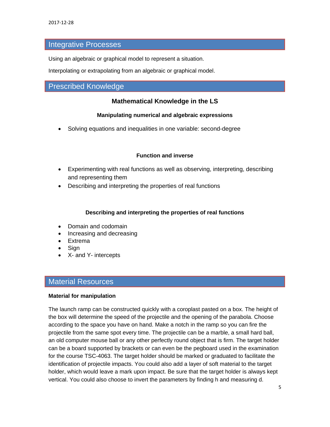### Integrative Processes

Using an algebraic or graphical model to represent a situation.

Interpolating or extrapolating from an algebraic or graphical model.

# Prescribed Knowledge

### **Mathematical Knowledge in the LS**

#### **Manipulating numerical and algebraic expressions**

• Solving equations and inequalities in one variable: second-degree

#### **Function and inverse**

- Experimenting with real functions as well as observing, interpreting, describing and representing them
- Describing and interpreting the properties of real functions

#### **Describing and interpreting the properties of real functions**

- Domain and codomain
- Increasing and decreasing
- Extrema
- **Sign**
- X- and Y- intercepts

### Material Resources

#### **Material for manipulation**

The launch ramp can be constructed quickly with a coroplast pasted on a box. The height of the box will determine the speed of the projectile and the opening of the parabola. Choose according to the space you have on hand. Make a notch in the ramp so you can fire the projectile from the same spot every time. The projectile can be a marble, a small hard ball, an old computer mouse ball or any other perfectly round object that is firm. The target holder can be a board supported by brackets or can even be the pegboard used in the examination for the course TSC-4063. The target holder should be marked or graduated to facilitate the identification of projectile impacts. You could also add a layer of soft material to the target holder, which would leave a mark upon impact. Be sure that the target holder is always kept vertical. You could also choose to invert the parameters by finding h and measuring d.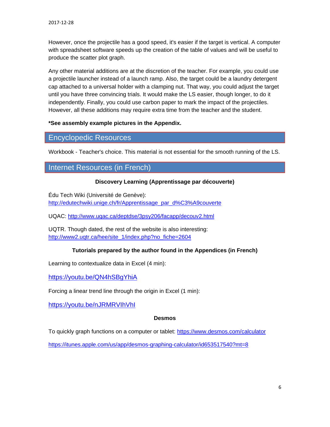However, once the projectile has a good speed, it's easier if the target is vertical. A computer with spreadsheet software speeds up the creation of the table of values and will be useful to produce the scatter plot graph.

Any other material additions are at the discretion of the teacher. For example, you could use a projectile launcher instead of a launch ramp. Also, the target could be a laundry detergent cap attached to a universal holder with a clamping nut. That way, you could adjust the target until you have three convincing trials. It would make the LS easier, though longer, to do it independently. Finally, you could use carbon paper to mark the impact of the projectiles. However, all these additions may require extra time from the teacher and the student.

#### **\*See assembly example pictures in the Appendix.**

### Encyclopedic Resources

Workbook - Teacher's choice. This material is not essential for the smooth running of the LS.

# Internet Resources (in French)

#### **Discovery Learning (Apprentissage par découverte)**

Édu Tech Wiki (Université de Genève): [http://edutechwiki.unige.ch/fr/Apprentissage\\_par\\_d%C3%A9couverte](http://edutechwiki.unige.ch/fr/Apprentissage_par_d%C3%A9couverte)

UQAC:<http://www.uqac.ca/deptdse/3psy206/facapp/decouv2.html>

UQTR. Though dated, the rest of the website is also interesting: [http://www2.uqtr.ca/hee/site\\_1/index.php?no\\_fiche=2604](http://www2.uqtr.ca/hee/site_1/index.php?no_fiche=2604)

#### **Tutorials prepared by the author found in the Appendices (in French)**

Learning to contextualize data in Excel (4 min):

<https://youtu.be/QN4hSBgYhiA>

Forcing a linear trend line through the origin in Excel (1 min):

<https://youtu.be/nJRMRVIhVhI>

#### **Desmos**

To quickly graph functions on a computer or tablet:<https://www.desmos.com/calculator>

<https://itunes.apple.com/us/app/desmos-graphing-calculator/id653517540?mt=8>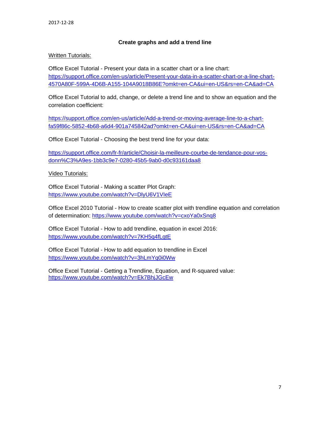#### **Create graphs and add a trend line**

#### **Written Tutorials:**

Office Excel Tutorial - Present your data in a scatter chart or a line chart: [https://support.office.com/en-us/article/Present-your-data-in-a-scatter-chart-or-a-line-chart-](https://support.office.com/fr-fr/article/Pr%C3%A9senter-vos-donn%C3%A9es-dans-un-graphique-en-nuages-de-points-ou-un-graphique-en-courbes-4570A80F-599A-4D6B-A155-104A9018B86E?ui=fr-FR&rs=fr-FR&ad=FR)[4570A80F-599A-4D6B-A155-104A9018B86E?omkt=en-CA&ui=en-US&rs=en-CA&ad=CA](https://support.office.com/fr-fr/article/Pr%C3%A9senter-vos-donn%C3%A9es-dans-un-graphique-en-nuages-de-points-ou-un-graphique-en-courbes-4570A80F-599A-4D6B-A155-104A9018B86E?ui=fr-FR&rs=fr-FR&ad=FR)

Office Excel Tutorial to add, change, or delete a trend line and to show an equation and the correlation coefficient:

[https://support.office.com/en-us/article/Add-a-trend-or-moving-average-line-to-a-chart](https://support.office.com/fr-fr/article/Ajouter-modifier-ou-supprimer-une-courbe-de-tendance-dans-un-graphique-fa59f86c-5852-4b68-a6d4-901a745842ad)[fa59f86c-5852-4b68-a6d4-901a745842ad?omkt=en-CA&ui=en-US&rs=en-CA&ad=CA](https://support.office.com/fr-fr/article/Ajouter-modifier-ou-supprimer-une-courbe-de-tendance-dans-un-graphique-fa59f86c-5852-4b68-a6d4-901a745842ad)

Office Excel Tutorial - Choosing the best trend line for your data:

[https://support.office.com/fr-fr/article/Choisir-la-meilleure-courbe-de-tendance-pour-vos](https://support.office.com/fr-fr/article/Choisir-la-meilleure-courbe-de-tendance-pour-vos-donn%C3%A9es-1bb3c9e7-0280-45b5-9ab0-d0c93161daa8)[donn%C3%A9es-1bb3c9e7-0280-45b5-9ab0-d0c93161daa8](https://support.office.com/fr-fr/article/Choisir-la-meilleure-courbe-de-tendance-pour-vos-donn%C3%A9es-1bb3c9e7-0280-45b5-9ab0-d0c93161daa8)

#### Video Tutorials:

Office Excel Tutorial - Making a scatter Plot Graph: <https://www.youtube.com/watch?v=DlyU6V1VIeE>

Office Excel 2010 Tutorial - How to create scatter plot with trendline equation and correlation of determination:<https://www.youtube.com/watch?v=cxoYa0xSnq8>

Office Excel Tutorial - How to add trendline, equation in excel 2016: <https://www.youtube.com/watch?v=7KH5q4fLgtE>

Office Excel Tutorial - How to add equation to trendline in Excel [https://www.youtube.com/watch?v=3hLmYq0i0Ww](https://www.youtube.com/watch?v=5AsPqmKz9CE)

Office Excel Tutorial - Getting a Trendline, Equation, and R-squared value: <https://www.youtube.com/watch?v=Ek7BhjJGcEw>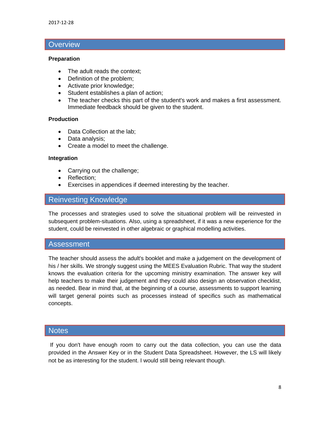## **Overview**

#### **Preparation**

- The adult reads the context;
- Definition of the problem;
- Activate prior knowledge;
- Student establishes a plan of action;
- The teacher checks this part of the student's work and makes a first assessment. Immediate feedback should be given to the student.

#### **Production**

- Data Collection at the lab;
- Data analysis;
- Create a model to meet the challenge.

#### **Integration**

- Carrying out the challenge;
- Reflection;
- Exercises in appendices if deemed interesting by the teacher.

# Reinvesting Knowledge

The processes and strategies used to solve the situational problem will be reinvested in subsequent problem-situations. Also, using a spreadsheet, if it was a new experience for the student, could be reinvested in other algebraic or graphical modelling activities.

### Assessment

The teacher should assess the adult's booklet and make a judgement on the development of his / her skills. We strongly suggest using the MEES Evaluation Rubric. That way the student knows the evaluation criteria for the upcoming ministry examination. The answer key will help teachers to make their judgement and they could also design an observation checklist, as needed. Bear in mind that, at the beginning of a course, assessments to support learning will target general points such as processes instead of specifics such as mathematical concepts.

#### **Notes**

If you don't have enough room to carry out the data collection, you can use the data provided in the Answer Key or in the Student Data Spreadsheet. However, the LS will likely not be as interesting for the student. I would still being relevant though.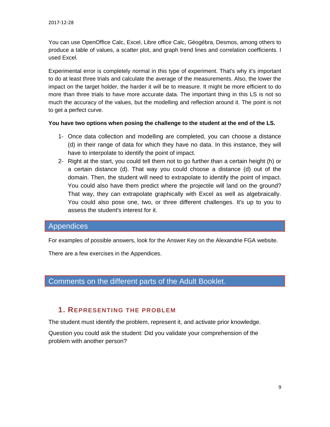You can use OpenOffice Calc, Excel, Libre office Calc, Géogébra, Desmos, among others to produce a table of values, a scatter plot, and graph trend lines and correlation coefficients. I used Excel.

Experimental error is completely normal in this type of experiment. That's why it's important to do at least three trials and calculate the average of the measurements. Also, the lower the impact on the target holder, the harder it will be to measure. It might be more efficient to do more than three trials to have more accurate data. The important thing in this LS is not so much the accuracy of the values, but the modelling and reflection around it. The point is not to get a perfect curve.

#### **You have two options when posing the challenge to the student at the end of the LS.**

- 1- Once data collection and modelling are completed, you can choose a distance (d) in their range of data for which they have no data. In this instance, they will have to interpolate to identify the point of impact.
- 2- Right at the start, you could tell them not to go further than a certain height (h) or a certain distance (d). That way you could choose a distance (d) out of the domain. Then, the student will need to extrapolate to identify the point of impact. You could also have them predict where the projectile will land on the ground? That way, they can extrapolate graphically with Excel as well as algebraically. You could also pose one, two, or three different challenges. It's up to you to assess the student's interest for it.

## Appendices

For examples of possible answers, look for the Answer Key on the Alexandrie FGA website.

There are a few exercises in the Appendices.

# Comments on the different parts of the Adult Booklet.

### **1. REPRESENTING THE PROBLEM**

The student must identify the problem, represent it, and activate prior knowledge.

Question you could ask the student: Did you validate your comprehension of the problem with another person?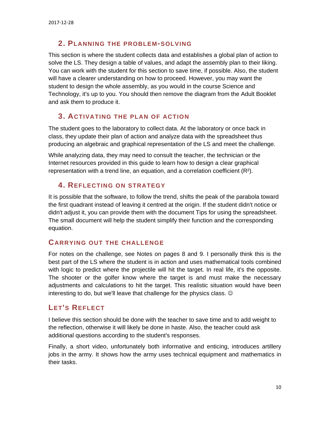### **2. PLANNING THE PROBLEM-SOLVING**

This section is where the student collects data and establishes a global plan of action to solve the LS. They design a table of values, and adapt the assembly plan to their liking. You can work with the student for this section to save time, if possible. Also, the student will have a clearer understanding on how to proceed. However, you may want the student to design the whole assembly, as you would in the course Science and Technology, it's up to you. You should then remove the diagram from the Adult Booklet and ask them to produce it.

### **3. ACTIVATING THE PLAN OF ACTION**

The student goes to the laboratory to collect data. At the laboratory or once back in class, they update their plan of action and analyze data with the spreadsheet thus producing an algebraic and graphical representation of the LS and meet the challenge.

While analyzing data, they may need to consult the teacher, the technician or the Internet resources provided in this guide to learn how to design a clear graphical representation with a trend line, an equation, and a correlation coefficient  $(R^2)$ .

### **4. REFLECTING ON STRATEGY**

It is possible that the software, to follow the trend, shifts the peak of the parabola toward the first quadrant instead of leaving it centred at the origin. If the student didn't notice or didn't adjust it, you can provide them with the document Tips for using the spreadsheet. The small document will help the student simplify their function and the corresponding equation.

### **CARRYING OUT THE CHALLENGE**

For notes on the challenge, see Notes on pages 8 and 9. I personally think this is the best part of the LS where the student is in action and uses mathematical tools combined with logic to predict where the projectile will hit the target. In real life, it's the opposite. The shooter or the golfer know where the target is and must make the necessary adjustments and calculations to hit the target. This realistic situation would have been interesting to do, but we'll leave that challenge for the physics class.  $\odot$ 

## **LET'S REFLECT**

I believe this section should be done with the teacher to save time and to add weight to the reflection, otherwise it will likely be done in haste. Also, the teacher could ask additional questions according to the student's responses.

Finally, a short video, unfortunately both informative and enticing, introduces artillery jobs in the army. It shows how the army uses technical equipment and mathematics in their tasks.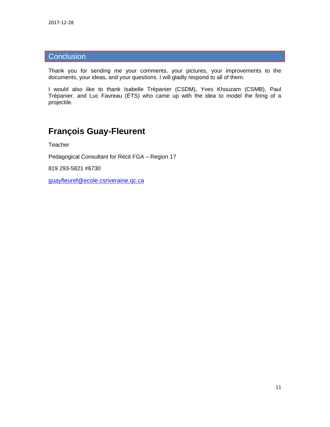# **Conclusion**

Thank you for sending me your comments, your pictures, your improvements to the documents, your ideas, and your questions. I will gladly respond to all of them.

I would also like to thank Isabelle Trépanier (CSDM), Yves Khouzam (CSMB), Paul Trépanier, and Luc Favreau (ÉTS) who came up with the idea to model the firing of a projectile.

# **François Guay-Fleurent**

**Teacher** 

Pedagogical Consultant for Récit FGA – Region 17

819 293-5821 #6730

[guayfleuref@ecole.csriveraine.qc.ca](mailto:guayfleuref@ecole.csriveraine.qc.ca)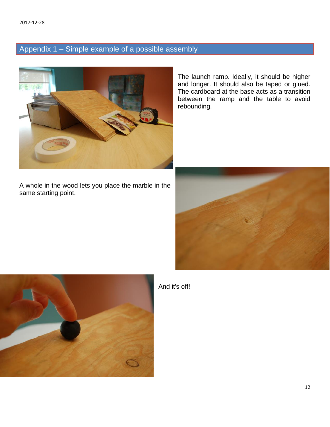# Appendix 1 – Simple example of a possible assembly



A whole in the wood lets you place the marble in the same starting point.

The launch ramp. Ideally, it should be higher and longer. It should also be taped or glued. The cardboard at the base acts as a transition between the ramp and the table to avoid rebounding.





And it's off!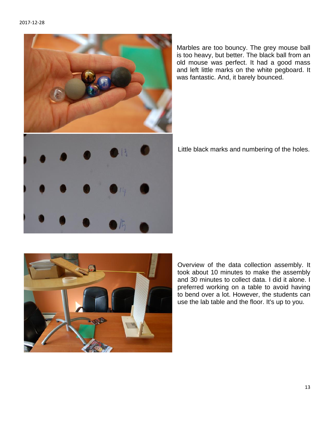

Marbles are too bouncy. The grey mouse ball is too heavy, but better. The black ball from an old mouse was perfect. It had a good mass and left little marks on the white pegboard. It was fantastic. And, it barely bounced.

Little black marks and numbering of the holes.



Overview of the data collection assembly. It took about 10 minutes to make the assembly and 30 minutes to collect data. I did it alone. I preferred working on a table to avoid having to bend over a lot. However, the students can use the lab table and the floor. It's up to you.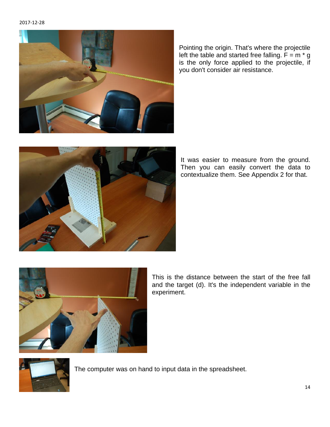#### 2017-12-28



Pointing the origin. That's where the projectile left the table and started free falling.  $F = m * g$ is the only force applied to the projectile, if you don't consider air resistance.



It was easier to measure from the ground. Then you can easily convert the data to contextualize them. See Appendix 2 for that.



This is the distance between the start of the free fall and the target (d). It's the independent variable in the experiment.



The computer was on hand to input data in the spreadsheet.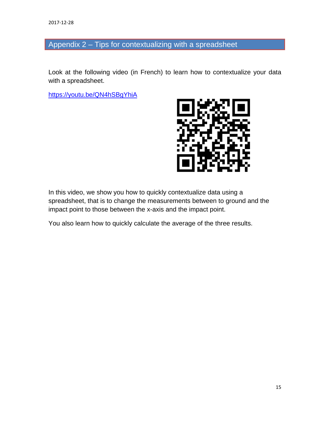# Appendix 2 – Tips for contextualizing with a spreadsheet

Look at the following video (in French) to learn how to contextualize your data with a spreadsheet.

<https://youtu.be/QN4hSBgYhiA>



In this video, we show you how to quickly contextualize data using a spreadsheet, that is to change the measurements between to ground and the impact point to those between the x-axis and the impact point.

You also learn how to quickly calculate the average of the three results.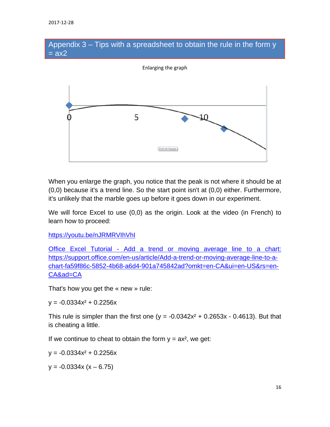## Appendix 3 – Tips with a spreadsheet to obtain the rule in the form y  $=  $ax2$$



When you enlarge the graph, you notice that the peak is not where it should be at (0,0) because it's a trend line. So the start point isn't at (0,0) either. Furthermore, it's unlikely that the marble goes up before it goes down in our experiment.

We will force Excel to use (0,0) as the origin. Look at the video (in French) to learn how to proceed:

<https://youtu.be/nJRMRVIhVhI>

Office Excel Tutorial - [Add a trend or moving average line to a chart:](https://support.office.com/fr-fr/article/Ajouter-modifier-ou-supprimer-une-courbe-de-tendance-dans-un-graphique-fa59f86c-5852-4b68-a6d4-901a745842ad#bmspecifyintercept)  [https://support.office.com/en-us/article/Add-a-trend-or-moving-average-line-to-a](https://support.office.com/fr-fr/article/Ajouter-modifier-ou-supprimer-une-courbe-de-tendance-dans-un-graphique-fa59f86c-5852-4b68-a6d4-901a745842ad#bmspecifyintercept)[chart-fa59f86c-5852-4b68-a6d4-901a745842ad?omkt=en-CA&ui=en-US&rs=en-](https://support.office.com/fr-fr/article/Ajouter-modifier-ou-supprimer-une-courbe-de-tendance-dans-un-graphique-fa59f86c-5852-4b68-a6d4-901a745842ad#bmspecifyintercept)[CA&ad=CA](https://support.office.com/fr-fr/article/Ajouter-modifier-ou-supprimer-une-courbe-de-tendance-dans-un-graphique-fa59f86c-5852-4b68-a6d4-901a745842ad#bmspecifyintercept)

That's how you get the « new » rule:

 $y = -0.0334x^2 + 0.2256x$ 

This rule is simpler than the first one ( $y = -0.0342x^2 + 0.2653x - 0.4613$ ). But that is cheating a little.

If we continue to cheat to obtain the form  $y = ax^2$ , we get:

 $y = -0.0334x^2 + 0.2256x$ 

 $y = -0.0334x (x - 6.75)$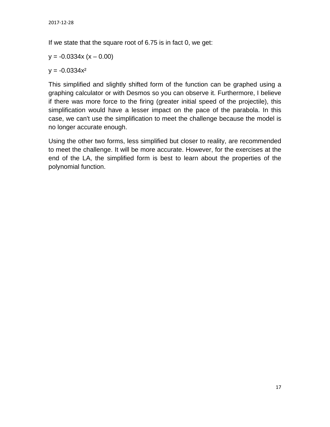If we state that the square root of 6.75 is in fact 0, we get:

 $y = -0.0334x (x - 0.00)$ 

 $y = -0.0334x^2$ 

This simplified and slightly shifted form of the function can be graphed using a graphing calculator or with Desmos so you can observe it. Furthermore, I believe if there was more force to the firing (greater initial speed of the projectile), this simplification would have a lesser impact on the pace of the parabola. In this case, we can't use the simplification to meet the challenge because the model is no longer accurate enough.

Using the other two forms, less simplified but closer to reality, are recommended to meet the challenge. It will be more accurate. However, for the exercises at the end of the LA, the simplified form is best to learn about the properties of the polynomial function.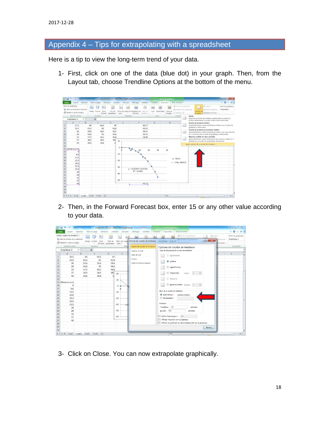# Appendix 4 – Tips for extrapolating with a spreadsheet

Here is a tip to view the long-term trend of your data.

1- First, click on one of the data (blue dot) in your graph. Then, from the Layout tab, choose Trendline Options at the bottom of the menu.

| 第四の一件一件<br>tableur tirs FGF juin 2016 - Microsoft Excel                                                                                                              |                |           |                                                                                                                |                  |                                                                               |          |                                                                                                                                                          | Outils de graphique |                                   |                                                                    |                                                                                                                                                              |                                                          | $-6$ X                                                                                                                                                                                                                                                                                                                                              |  |
|----------------------------------------------------------------------------------------------------------------------------------------------------------------------|----------------|-----------|----------------------------------------------------------------------------------------------------------------|------------------|-------------------------------------------------------------------------------|----------|----------------------------------------------------------------------------------------------------------------------------------------------------------|---------------------|-----------------------------------|--------------------------------------------------------------------|--------------------------------------------------------------------------------------------------------------------------------------------------------------|----------------------------------------------------------|-----------------------------------------------------------------------------------------------------------------------------------------------------------------------------------------------------------------------------------------------------------------------------------------------------------------------------------------------------|--|
| Fichier                                                                                                                                                              | Accueil        | Insertion |                                                                                                                | Mise en page     | Formules<br>Données                                                           | Révision | Affichage<br>Aritidote                                                                                                                                   | Création            | Mise en forme<br>Disposition      |                                                                    |                                                                                                                                                              |                                                          | $\begin{picture}(150,10) \put(0,0){\line(1,0){10}} \put(15,0){\line(1,0){10}} \put(15,0){\line(1,0){10}} \put(15,0){\line(1,0){10}} \put(15,0){\line(1,0){10}} \put(15,0){\line(1,0){10}} \put(15,0){\line(1,0){10}} \put(15,0){\line(1,0){10}} \put(15,0){\line(1,0){10}} \put(15,0){\line(1,0){10}} \put(15,0){\line(1,0){10}} \put(15,0){\line($ |  |
| Zone de graphique<br>A.<br>霞<br>by Mise en forme de la sélection<br>Titre du<br>Zone<br>Image Formes<br>Rétablir le style d'origine<br>graphique *<br>de texte.<br>× |                |           | ifa<br>ithi<br>A.<br>Bh<br>Titres des Légende Étiquettes de<br>Table de<br>données *<br>axes."<br>×<br>données |                  | ila.<br>tr.<br>lih<br>Quadrillage<br>Zone de<br>Axes<br>traçage . Potation 3D |          | IIII Lianes :-<br>Paroi du graphique<br>$\mathcal{A}$<br>IN Plancher du graphique<br>III Barres haut/bas<br>Courbe de<br>Barres d'erreur -<br>tendance - |                     | Nom du graphique :<br>Graphique 3 |                                                                    |                                                                                                                                                              |                                                          |                                                                                                                                                                                                                                                                                                                                                     |  |
| Sélection active<br>Étiquettes<br>Insertion                                                                                                                          |                |           |                                                                                                                |                  |                                                                               |          | Axes                                                                                                                                                     | Arrière-            | 黬                                 | Aucun<br>Supprime la courbe de tendance sélectionnée ou toutes les |                                                                                                                                                              |                                                          |                                                                                                                                                                                                                                                                                                                                                     |  |
|                                                                                                                                                                      | Graphique 3    | $-$       |                                                                                                                | $f_{\mathbf{x}}$ |                                                                               |          |                                                                                                                                                          |                     |                                   |                                                                    |                                                                                                                                                              | courbes de tendance si aucune d'elles n'est sélectionnée |                                                                                                                                                                                                                                                                                                                                                     |  |
|                                                                                                                                                                      | $\overline{A}$ | B         |                                                                                                                | $\epsilon$       | D                                                                             | F        | F                                                                                                                                                        | G                   | H                                 | P                                                                  | Courbe de tendance linéaire                                                                                                                                  |                                                          |                                                                                                                                                                                                                                                                                                                                                     |  |
|                                                                                                                                                                      | 21,5           |           | 66                                                                                                             | 64,5             | 65                                                                            |          | 65,17                                                                                                                                                    |                     |                                   |                                                                    | Ajoute/définit une courbe de tendance linéaire pour la série de<br>graphiques sélectionnée                                                                   |                                                          |                                                                                                                                                                                                                                                                                                                                                     |  |
|                                                                                                                                                                      | 23,5           |           | 61,5                                                                                                           | 61               | 61,8                                                                          |          | 61.43                                                                                                                                                    |                     |                                   |                                                                    |                                                                                                                                                              | Courbe de tendance de prévision linéaire                 |                                                                                                                                                                                                                                                                                                                                                     |  |
|                                                                                                                                                                      | 26             |           | 59,6                                                                                                           | 59,4             | 59,4                                                                          |          | 59,47                                                                                                                                                    |                     |                                   | <b>ME</b>                                                          | Ajoute/définit une courbe de tendance linéaire avec une prévision                                                                                            |                                                          |                                                                                                                                                                                                                                                                                                                                                     |  |
|                                                                                                                                                                      | 29             |           | 54,6                                                                                                           | 55               | 54,6                                                                          |          | 54,73                                                                                                                                                    |                     |                                   |                                                                    | sur 2 périodes pour la série de graphiques sélectionnée<br>Moyenne mobile sur deux périodes<br>Ajoute/définit une courbe de tendance de movenne mobile sur 2 |                                                          |                                                                                                                                                                                                                                                                                                                                                     |  |
|                                                                                                                                                                      | 33             |           | 47.4                                                                                                           | 46.2             | 46.8                                                                          |          | 46,80                                                                                                                                                    |                     |                                   | $\overline{x}$                                                     |                                                                                                                                                              |                                                          |                                                                                                                                                                                                                                                                                                                                                     |  |
|                                                                                                                                                                      | 37             |           | 38.4                                                                                                           | 38.4             | 38 <sup>2</sup>                                                               | 10       |                                                                                                                                                          |                     |                                   |                                                                    |                                                                                                                                                              | périodes pour la série de graphiques sélectionnée        |                                                                                                                                                                                                                                                                                                                                                     |  |
|                                                                                                                                                                      | 40             |           | 29,6                                                                                                           | 30,8             | 3(                                                                            |          |                                                                                                                                                          |                     |                                   |                                                                    | Autres options de la courbe de tendance                                                                                                                      |                                                          |                                                                                                                                                                                                                                                                                                                                                     |  |
|                                                                                                                                                                      |                |           |                                                                                                                |                  |                                                                               | 0        |                                                                                                                                                          |                     |                                   |                                                                    |                                                                                                                                                              |                                                          |                                                                                                                                                                                                                                                                                                                                                     |  |
|                                                                                                                                                                      | Distance (cm)  |           |                                                                                                                |                  |                                                                               |          | 30<br>1n <sup>3</sup><br>20                                                                                                                              | 40                  | 50                                |                                                                    |                                                                                                                                                              |                                                          |                                                                                                                                                                                                                                                                                                                                                     |  |
|                                                                                                                                                                      | $\Omega$       |           |                                                                                                                |                  |                                                                               |          |                                                                                                                                                          |                     |                                   |                                                                    |                                                                                                                                                              |                                                          |                                                                                                                                                                                                                                                                                                                                                     |  |
|                                                                                                                                                                      | 8,6            |           |                                                                                                                |                  |                                                                               | $-10$    |                                                                                                                                                          |                     |                                   |                                                                    |                                                                                                                                                              |                                                          |                                                                                                                                                                                                                                                                                                                                                     |  |
|                                                                                                                                                                      | 11,5           |           |                                                                                                                |                  |                                                                               |          |                                                                                                                                                          |                     | Série1<br>۰                       |                                                                    |                                                                                                                                                              |                                                          |                                                                                                                                                                                                                                                                                                                                                     |  |
|                                                                                                                                                                      | 15,5           |           |                                                                                                                |                  |                                                                               | $-20$    |                                                                                                                                                          |                     |                                   |                                                                    |                                                                                                                                                              |                                                          |                                                                                                                                                                                                                                                                                                                                                     |  |
|                                                                                                                                                                      | 18,3           |           |                                                                                                                |                  |                                                                               |          |                                                                                                                                                          |                     | - Poly. (Série 1)                 |                                                                    |                                                                                                                                                              |                                                          |                                                                                                                                                                                                                                                                                                                                                     |  |
|                                                                                                                                                                      | 21,5           |           |                                                                                                                |                  |                                                                               | $-30$    |                                                                                                                                                          |                     |                                   |                                                                    |                                                                                                                                                              |                                                          |                                                                                                                                                                                                                                                                                                                                                     |  |
|                                                                                                                                                                      | 23,5           |           |                                                                                                                |                  |                                                                               |          | $y = -0.0334x^{2} + 0.2256x$                                                                                                                             |                     |                                   |                                                                    |                                                                                                                                                              |                                                          |                                                                                                                                                                                                                                                                                                                                                     |  |
|                                                                                                                                                                      | 26             |           |                                                                                                                |                  |                                                                               | $-40$    | $R^2 = 0.9984$                                                                                                                                           |                     |                                   |                                                                    |                                                                                                                                                              |                                                          |                                                                                                                                                                                                                                                                                                                                                     |  |
|                                                                                                                                                                      | 29             |           |                                                                                                                |                  |                                                                               |          |                                                                                                                                                          |                     |                                   |                                                                    |                                                                                                                                                              |                                                          |                                                                                                                                                                                                                                                                                                                                                     |  |
|                                                                                                                                                                      | 33             |           |                                                                                                                |                  |                                                                               |          |                                                                                                                                                          |                     |                                   |                                                                    |                                                                                                                                                              |                                                          |                                                                                                                                                                                                                                                                                                                                                     |  |
|                                                                                                                                                                      | 37             |           |                                                                                                                |                  |                                                                               | $-50$    |                                                                                                                                                          |                     |                                   |                                                                    |                                                                                                                                                              |                                                          |                                                                                                                                                                                                                                                                                                                                                     |  |
|                                                                                                                                                                      | 40             |           |                                                                                                                |                  |                                                                               |          | $-45,37$                                                                                                                                                 |                     |                                   |                                                                    |                                                                                                                                                              |                                                          |                                                                                                                                                                                                                                                                                                                                                     |  |
|                                                                                                                                                                      |                |           |                                                                                                                |                  |                                                                               |          |                                                                                                                                                          |                     |                                   |                                                                    |                                                                                                                                                              |                                                          |                                                                                                                                                                                                                                                                                                                                                     |  |
|                                                                                                                                                                      |                |           |                                                                                                                |                  |                                                                               |          |                                                                                                                                                          |                     |                                   |                                                                    |                                                                                                                                                              |                                                          |                                                                                                                                                                                                                                                                                                                                                     |  |
|                                                                                                                                                                      |                |           |                                                                                                                |                  |                                                                               |          |                                                                                                                                                          |                     |                                   |                                                                    |                                                                                                                                                              |                                                          |                                                                                                                                                                                                                                                                                                                                                     |  |
|                                                                                                                                                                      |                |           |                                                                                                                |                  |                                                                               |          |                                                                                                                                                          |                     |                                   |                                                                    |                                                                                                                                                              |                                                          |                                                                                                                                                                                                                                                                                                                                                     |  |

2- Then, in the Forward Forecast box, enter 15 or any other value according to your data.

|                                                                                                                                             | ※ 回ったー                                                                                                                                                  |                             |                                                    |                                                  |                                                                         |                                                                   | tableur tirs FGF juin 2016 - Microsoft Excel                                   | Outils de graphique                                                                                                                                                                                                                                                                                                                                                                                                                                                                                                                     | $= 0$<br>$\Sigma$                                                         |
|---------------------------------------------------------------------------------------------------------------------------------------------|---------------------------------------------------------------------------------------------------------------------------------------------------------|-----------------------------|----------------------------------------------------|--------------------------------------------------|-------------------------------------------------------------------------|-------------------------------------------------------------------|--------------------------------------------------------------------------------|-----------------------------------------------------------------------------------------------------------------------------------------------------------------------------------------------------------------------------------------------------------------------------------------------------------------------------------------------------------------------------------------------------------------------------------------------------------------------------------------------------------------------------------------|---------------------------------------------------------------------------|
| Fichier                                                                                                                                     | Accueil                                                                                                                                                 | Insertion                   | Mise en page                                       |                                                  | Formules Données                                                        | Révision                                                          | Affichage<br>Antidote                                                          | Disposition<br>Mise en forme<br>Création                                                                                                                                                                                                                                                                                                                                                                                                                                                                                                | $\circ$ $\circ$<br>$-83$                                                  |
|                                                                                                                                             | Série1 Courbe de tendance 2<br>Mise en forme de la sélection<br>Rétablir le style d'origine<br>Sélection active                                         |                             | racia<br>Image Formes                              | A<br>Zone<br>Insertion                           | dia.<br>Titre du<br>de texte graphique -                                | <b>Rda</b><br>les <sup>1</sup><br>axes -<br>Etiqu                 | Titres des Légel Format de courbe de tendance<br>Options de courbe de tendance | Paroi du graphique -<br>Ill Lignes -<br>$\boxed{2}$<br>$x -$<br><b>Joseph De</b><br><b>Countries Country</b>                                                                                                                                                                                                                                                                                                                                                                                                                            | Nom du graphique<br>Graphique 3<br>taut/bas<br>s d'erreur -<br>Propriétés |
|                                                                                                                                             | Graphique 3                                                                                                                                             | $\mathbf{v}$ ( $\mathbf{v}$ | $f_{\rm x}$                                        |                                                  |                                                                         |                                                                   |                                                                                | Options de courbe de tendance                                                                                                                                                                                                                                                                                                                                                                                                                                                                                                           |                                                                           |
|                                                                                                                                             | $\overline{A}$                                                                                                                                          | B                           |                                                    | C                                                | D                                                                       | E                                                                 | Couleur du trait                                                               | Type de régression/de courbe de tendance                                                                                                                                                                                                                                                                                                                                                                                                                                                                                                |                                                                           |
| 8<br>$\overline{9}$<br>10<br>11<br>12<br>13<br>14<br>16<br>17<br>18<br>19<br>20<br>21<br>22<br>23<br>24<br>25<br>26<br>27<br>28<br>29<br>30 | 21,5<br>23,5<br>26<br>29<br>33<br>37<br>40<br>15 Distance (cm)<br>$\Omega$<br>8.6<br>11,5<br>15,5<br>18,3<br>21.5<br>23,5<br>26<br>29<br>33<br>37<br>40 |                             | 66<br>61,5<br>59.6<br>54,6<br>47,4<br>38,4<br>29,6 | 64,5<br>61<br>59,4<br>55<br>46,2<br>38,4<br>30,8 | 65<br>61,8<br>59.4<br>54,6<br>46,8<br>38 <sub>1</sub><br>$\overline{3}$ | 20<br>10<br>$\Omega$<br>$-10$<br>$-20$<br>$-30$<br>$-40$<br>$-50$ | Style de trait<br>Ombre<br>Éclat et contours adoucis                           | Exponentielle<br><b>O</b> Linéaire<br>Logarithmique<br>Polynomiale<br>$\frac{\Lambda}{\Psi}$<br>$ 2\rangle$<br>Ordre:<br><b>Puissance</b><br>Moyenne mobile Période : 2<br>$\frac{\Delta}{\Delta t}$<br>Nom de la courbe de tendance<br>Automatique:<br>Linéaire (Série1)<br>Personnalisé :<br>Prévision<br>Transférer : 15<br>périodes<br>Reculer: 0,0<br>périodes<br>0,0<br>Définir l'interception =<br>Afficher l'équation sur le graphique<br>Afficher le coefficient de détermination (R <sup>2</sup> ) sur le graphique<br>Fermer |                                                                           |
|                                                                                                                                             | It I > M Feuil Feuil2 Feui3 Feui4                                                                                                                       |                             |                                                    |                                                  |                                                                         |                                                                   |                                                                                | ाच                                                                                                                                                                                                                                                                                                                                                                                                                                                                                                                                      | $\blacktriangleright$                                                     |

3- Click on Close. You can now extrapolate graphically.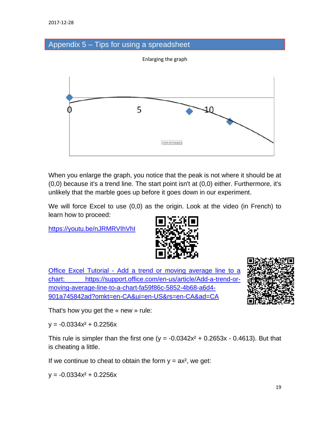### Appendix 5 – Tips for using a spreadsheet

Enlarging the graph



When you enlarge the graph, you notice that the peak is not where it should be at (0,0) because it's a trend line. The start point isn't at (0,0) either. Furthermore, it's unlikely that the marble goes up before it goes down in our experiment.

We will force Excel to use (0,0) as the origin. Look at the video (in French) to learn how to proceed:

<https://youtu.be/nJRMRVIhVhI>



Office Excel Tutorial - [Add a trend or moving average line to a](https://support.office.com/fr-fr/article/Ajouter-modifier-ou-supprimer-une-courbe-de-tendance-dans-un-graphique-fa59f86c-5852-4b68-a6d4-901a745842ad#bmspecifyintercept)  [chart: https://support.office.com/en-us/article/Add-a-trend-or](https://support.office.com/fr-fr/article/Ajouter-modifier-ou-supprimer-une-courbe-de-tendance-dans-un-graphique-fa59f86c-5852-4b68-a6d4-901a745842ad#bmspecifyintercept)[moving-average-line-to-a-chart-fa59f86c-5852-4b68-a6d4-](https://support.office.com/fr-fr/article/Ajouter-modifier-ou-supprimer-une-courbe-de-tendance-dans-un-graphique-fa59f86c-5852-4b68-a6d4-901a745842ad#bmspecifyintercept) [901a745842ad?omkt=en-CA&ui=en-US&rs=en-CA&ad=CA](https://support.office.com/fr-fr/article/Ajouter-modifier-ou-supprimer-une-courbe-de-tendance-dans-un-graphique-fa59f86c-5852-4b68-a6d4-901a745842ad#bmspecifyintercept)



That's how you get the « new » rule:

 $y = -0.0334x^2 + 0.2256x$ 

This rule is simpler than the first one ( $y = -0.0342x^2 + 0.2653x - 0.4613$ ). But that is cheating a little.

If we continue to cheat to obtain the form  $y = ax^2$ , we get:

 $y = -0.0334x^2 + 0.2256x$